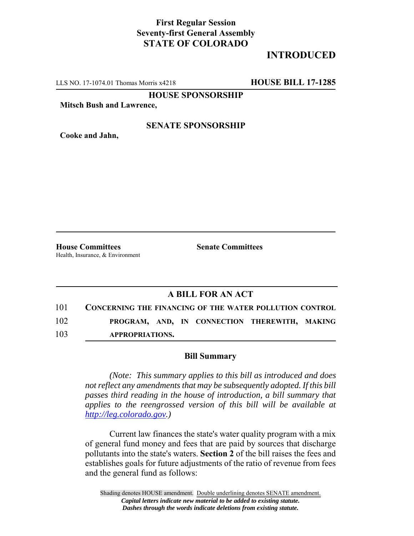## **First Regular Session Seventy-first General Assembly STATE OF COLORADO**

# **INTRODUCED**

LLS NO. 17-1074.01 Thomas Morris x4218 **HOUSE BILL 17-1285**

**HOUSE SPONSORSHIP**

**Mitsch Bush and Lawrence,**

**Cooke and Jahn,**

### **SENATE SPONSORSHIP**

**House Committees Senate Committees** Health, Insurance, & Environment

## **A BILL FOR AN ACT**

101 **CONCERNING THE FINANCING OF THE WATER POLLUTION CONTROL** 102 **PROGRAM, AND, IN CONNECTION THEREWITH, MAKING** 103 **APPROPRIATIONS.**

#### **Bill Summary**

*(Note: This summary applies to this bill as introduced and does not reflect any amendments that may be subsequently adopted. If this bill passes third reading in the house of introduction, a bill summary that applies to the reengrossed version of this bill will be available at http://leg.colorado.gov.)*

Current law finances the state's water quality program with a mix of general fund money and fees that are paid by sources that discharge pollutants into the state's waters. **Section 2** of the bill raises the fees and establishes goals for future adjustments of the ratio of revenue from fees and the general fund as follows: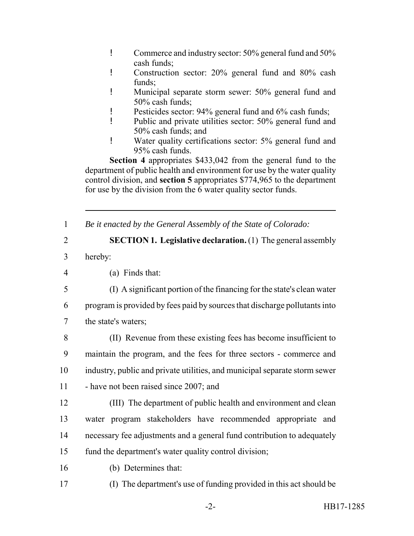- ! Commerce and industry sector: 50% general fund and 50% cash funds;
- ! Construction sector: 20% general fund and 80% cash funds;
- ! Municipal separate storm sewer: 50% general fund and 50% cash funds;
- ! Pesticides sector: 94% general fund and 6% cash funds;
- ! Public and private utilities sector: 50% general fund and 50% cash funds; and
- ! Water quality certifications sector: 5% general fund and 95% cash funds.

**Section 4** appropriates \$433,042 from the general fund to the department of public health and environment for use by the water quality control division, and **section 5** appropriates \$774,965 to the department for use by the division from the  $6$  water quality sector funds.

1 *Be it enacted by the General Assembly of the State of Colorado:*

2 **SECTION 1. Legislative declaration.** (1) The general assembly

- 3 hereby:
- 4 (a) Finds that:
- 

5 (I) A significant portion of the financing for the state's clean water

6 program is provided by fees paid by sources that discharge pollutants into 7 the state's waters;

- 8 (II) Revenue from these existing fees has become insufficient to 9 maintain the program, and the fees for three sectors - commerce and 10 industry, public and private utilities, and municipal separate storm sewer 11 - have not been raised since 2007; and
- 12 (III) The department of public health and environment and clean 13 water program stakeholders have recommended appropriate and 14 necessary fee adjustments and a general fund contribution to adequately 15 fund the department's water quality control division;
- 16 (b) Determines that:
- 17 (I) The department's use of funding provided in this act should be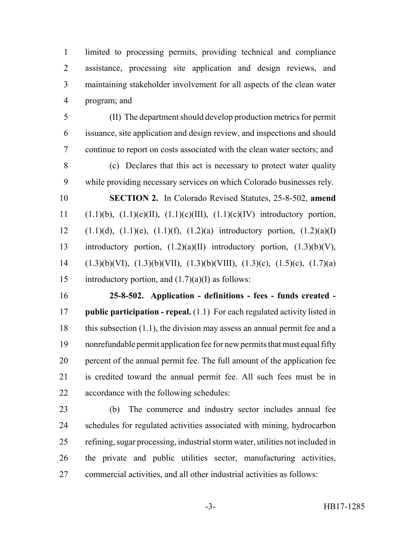limited to processing permits, providing technical and compliance assistance, processing site application and design reviews, and maintaining stakeholder involvement for all aspects of the clean water program; and

 (II) The department should develop production metrics for permit issuance, site application and design review, and inspections and should continue to report on costs associated with the clean water sectors; and (c) Declares that this act is necessary to protect water quality while providing necessary services on which Colorado businesses rely. **SECTION 2.** In Colorado Revised Statutes, 25-8-502, **amend**

11 (1.1)(b), (1.1)(c)(II), (1.1)(c)(III), (1.1)(c)(IV) introductory portion, 12  $(1.1)(d)$ ,  $(1.1)(e)$ ,  $(1.1)(f)$ ,  $(1.2)(a)$  introductory portion,  $(1.2)(a)(I)$  introductory portion, (1.2)(a)(II) introductory portion, (1.3)(b)(V), 14 (1.3)(b)(VI), (1.3)(b)(VII), (1.3)(b)(VIII), (1.3)(c), (1.5)(c), (1.7)(a) 15 introductory portion, and  $(1.7)(a)$ (I) as follows:

 **25-8-502. Application - definitions - fees - funds created - public participation - repeal.** (1.1) For each regulated activity listed in 18 this subsection (1.1), the division may assess an annual permit fee and a nonrefundable permit application fee for new permits that must equal fifty percent of the annual permit fee. The full amount of the application fee is credited toward the annual permit fee. All such fees must be in accordance with the following schedules:

 (b) The commerce and industry sector includes annual fee schedules for regulated activities associated with mining, hydrocarbon refining, sugar processing, industrial storm water, utilities not included in the private and public utilities sector, manufacturing activities, commercial activities, and all other industrial activities as follows: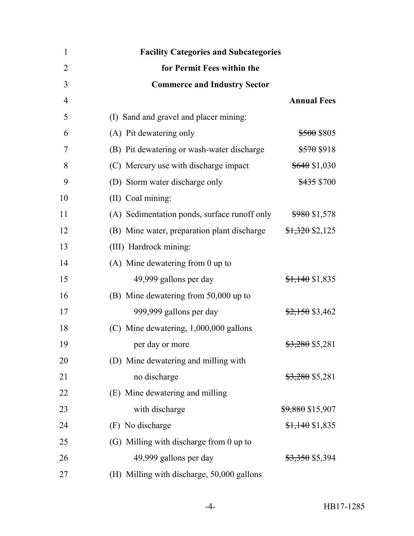| $\mathbf{1}$   | <b>Facility Categories and Subcategories</b>                    |
|----------------|-----------------------------------------------------------------|
| $\overline{2}$ | for Permit Fees within the                                      |
| 3              | <b>Commerce and Industry Sector</b>                             |
| $\overline{4}$ | <b>Annual Fees</b>                                              |
| 5              | (I) Sand and gravel and placer mining:                          |
| 6              | (A) Pit dewatering only<br><del>\$500</del> \$805               |
| 7              | (B) Pit dewatering or wash-water discharge<br>\$570\$918        |
| 8              | $$640$ \$1,030<br>(C) Mercury use with discharge impact         |
| 9              | \$435 \$700<br>(D) Storm water discharge only                   |
| 10             | (II) Coal mining:                                               |
| 11             | (A) Sedimentation ponds, surface runoff only<br>$$980$ \$1,578  |
| 12             | (B) Mine water, preparation plant discharge<br>$$1,320$ \$2,125 |
| 13             | (III) Hardrock mining:                                          |
| 14             | $(A)$ Mine dewatering from 0 up to                              |
| 15             | 49,999 gallons per day<br>$$1,140$ \$1,835                      |
| 16             | (B) Mine dewatering from 50,000 up to                           |
| 17             | 999,999 gallons per day<br>$$2,150$ \$3,462                     |
| 18             | $(C)$ Mine dewatering, 1,000,000 gallons                        |
| 19             | <del>\$3,280</del> \$5,281<br>per day or more                   |
| 20             | (D) Mine dewatering and milling with                            |
| 21             | \$3,280 \$5,281<br>no discharge                                 |
| 22             | (E) Mine dewatering and milling                                 |
| 23             | with discharge<br><del>\$9,880</del> \$15,907                   |
| 24             | $$1,140$ \$1,835<br>(F) No discharge                            |
| 25             | (G) Milling with discharge from 0 up to                         |
| 26             | 49,999 gallons per day<br><del>\$3,350</del> \$5,394            |
| 27             | (H) Milling with discharge, 50,000 gallons                      |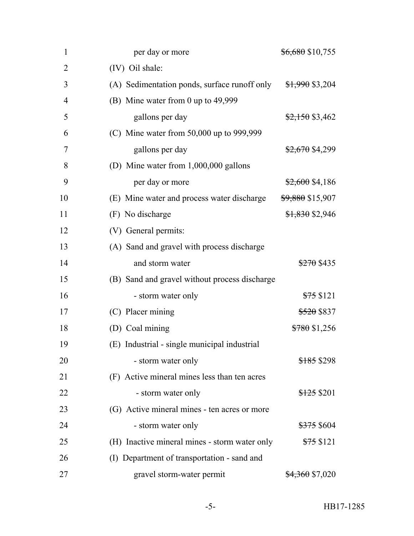| $\mathbf{1}$   | per day or more                               | $$6,680$ \$10,755           |
|----------------|-----------------------------------------------|-----------------------------|
| $\overline{2}$ | (IV) Oil shale:                               |                             |
| 3              | (A) Sedimentation ponds, surface runoff only  | <del>\$1,990</del> \$3,204  |
| $\overline{4}$ | (B) Mine water from 0 up to 49,999            |                             |
| 5              | gallons per day                               | $$2,150$ \$3,462            |
| 6              | (C) Mine water from $50,000$ up to $999,999$  |                             |
| 7              | gallons per day                               | <del>\$2,670</del> \$4,299  |
| 8              | (D) Mine water from 1,000,000 gallons         |                             |
| 9              | per day or more                               | $$2,600$ \$4,186            |
| 10             | (E) Mine water and process water discharge    | <del>\$9,880</del> \$15,907 |
| 11             | (F) No discharge                              | \$1,830 \$2,946             |
| 12             | (V) General permits:                          |                             |
| 13             | (A) Sand and gravel with process discharge    |                             |
| 14             | and storm water                               | <del>\$270</del> \$435      |
| 15             | (B) Sand and gravel without process discharge |                             |
| 16             | - storm water only                            | $$75$ \$121                 |
| 17             | (C) Placer mining                             | <del>\$520</del> \$837      |
| 18             | (D) Coal mining                               | $$780$ \$1,256              |
| 19             | (E) Industrial - single municipal industrial  |                             |
| 20             | - storm water only                            | <del>\$185</del> \$298      |
| 21             | (F) Active mineral mines less than ten acres  |                             |
| 22             | - storm water only                            | $$125$ \$201                |
| 23             | (G) Active mineral mines - ten acres or more  |                             |
| 24             | - storm water only                            | \$375 \$604                 |
| 25             | (H) Inactive mineral mines - storm water only | $$75$ \$121                 |
| 26             | (I) Department of transportation - sand and   |                             |
| 27             | gravel storm-water permit                     | $$4,360$ \$7,020            |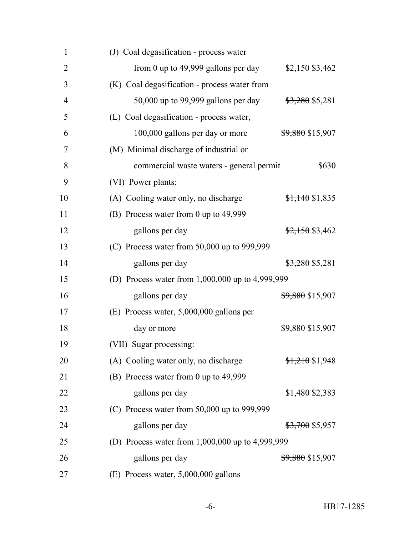| 1              | (J) Coal degasification - process water              |                             |
|----------------|------------------------------------------------------|-----------------------------|
| $\overline{2}$ | from 0 up to $49,999$ gallons per day                | $$2,150$ \$3,462            |
| 3              | (K) Coal degasification - process water from         |                             |
| $\overline{4}$ | 50,000 up to 99,999 gallons per day                  | $$3,280$ \$5,281            |
| 5              | (L) Coal degasification - process water,             |                             |
| 6              | 100,000 gallons per day or more                      | <del>\$9,880</del> \$15,907 |
| 7              | (M) Minimal discharge of industrial or               |                             |
| 8              | commercial waste waters - general permit             | \$630                       |
| 9              | (VI) Power plants:                                   |                             |
| 10             | (A) Cooling water only, no discharge                 | $$1,140$ \$1,835            |
| 11             | (B) Process water from 0 up to 49,999                |                             |
| 12             | gallons per day                                      | $$2,150$ \$3,462            |
| 13             | (C) Process water from $50,000$ up to $999,999$      |                             |
| 14             | gallons per day                                      | $$3,280$ \$5,281            |
| 15             | (D) Process water from 1,000,000 up to 4,999,999     |                             |
| 16             | gallons per day                                      | \$9,880 \$15,907            |
| 17             | $(E)$ Process water, 5,000,000 gallons per           |                             |
| 18             | day or more                                          | <del>\$9,880</del> \$15,907 |
| 19             | (VII) Sugar processing:                              |                             |
| 20             | (A) Cooling water only, no discharge                 | $$1,210$ \$1,948            |
| 21             | (B) Process water from 0 up to 49,999                |                             |
| 22             | gallons per day                                      | $$1,480$ \$2,383            |
| 23             | (C) Process water from $50,000$ up to $999,999$      |                             |
| 24             | gallons per day                                      | <del>\$3,700</del> \$5,957  |
| 25             | (D) Process water from $1,000,000$ up to $4,999,999$ |                             |
| 26             | gallons per day                                      | <del>\$9,880</del> \$15,907 |
| 27             | $(E)$ Process water, 5,000,000 gallons               |                             |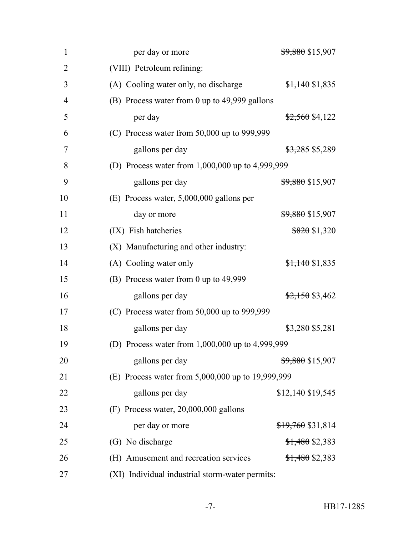| 1              | <del>\$9,880</del> \$15,907<br>per day or more            |
|----------------|-----------------------------------------------------------|
| $\overline{2}$ | (VIII) Petroleum refining:                                |
| 3              | (A) Cooling water only, no discharge<br>$$1,140$ \$1,835  |
| $\overline{4}$ | (B) Process water from 0 up to 49,999 gallons             |
| 5              | per day<br><del>\$2,560</del> \$4,122                     |
| 6              | (C) Process water from $50,000$ up to $999,999$           |
| 7              | <del>\$3,285</del> \$5,289<br>gallons per day             |
| 8              | (D) Process water from 1,000,000 up to 4,999,999          |
| 9              | \$9,880 \$15,907<br>gallons per day                       |
| 10             | (E) Process water, 5,000,000 gallons per                  |
| 11             | <del>\$9,880</del> \$15,907<br>day or more                |
| 12             | (IX) Fish hatcheries<br>$$820$ \$1,320                    |
| 13             | (X) Manufacturing and other industry:                     |
| 14             | (A) Cooling water only<br>$\frac{$1,140}{$1,835}$         |
| 15             | (B) Process water from 0 up to 49,999                     |
| 16             | $$2,150$ \$3,462<br>gallons per day                       |
| 17             | (C) Process water from $50,000$ up to $999,999$           |
| 18             | \$3,280 \$5,281<br>gallons per day                        |
| 19             | (D) Process water from 1,000,000 up to 4,999,999          |
| 20             | \$9,880 \$15,907<br>gallons per day                       |
| 21             | (E) Process water from 5,000,000 up to 19,999,999         |
| 22             | gallons per day<br>$$12,140$ \$19,545                     |
| 23             | $(F)$ Process water, 20,000,000 gallons                   |
| 24             | $$19,760$ \$31,814<br>per day or more                     |
| 25             | $$1,480$ \$2,383<br>(G) No discharge                      |
| 26             | (H) Amusement and recreation services<br>$$1,480$ \$2,383 |
| 27             | (XI) Individual industrial storm-water permits:           |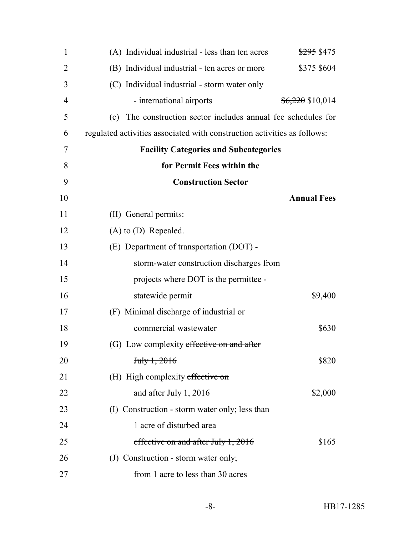| $\mathbf{1}$   | (A) Individual industrial - less than ten acres<br><del>\$295</del> \$475 |  |
|----------------|---------------------------------------------------------------------------|--|
| 2              | (B) Individual industrial - ten acres or more<br>\$375 \$604              |  |
| 3              | (C) Individual industrial - storm water only                              |  |
| $\overline{4}$ | $$6,220$ \$10,014<br>- international airports                             |  |
| 5              | The construction sector includes annual fee schedules for<br>(c)          |  |
| 6              | regulated activities associated with construction activities as follows:  |  |
| 7              | <b>Facility Categories and Subcategories</b>                              |  |
| 8              | for Permit Fees within the                                                |  |
| 9              | <b>Construction Sector</b>                                                |  |
| 10             | <b>Annual Fees</b>                                                        |  |
| 11             | (II) General permits:                                                     |  |
| 12             | $(A)$ to $(D)$ Repealed.                                                  |  |
| 13             | (E) Department of transportation (DOT) -                                  |  |
| 14             | storm-water construction discharges from                                  |  |
| 15             | projects where DOT is the permittee -                                     |  |
| 16             | statewide permit<br>\$9,400                                               |  |
| 17             | (F) Minimal discharge of industrial or                                    |  |
| 18             | commercial wastewater<br>\$630                                            |  |
| 19             | (G) Low complexity effective on and after                                 |  |
| 20             | \$820<br>July 1, 2016                                                     |  |
| 21             | (H) High complexity effective on                                          |  |
| 22             | and after July $1, 2016$<br>\$2,000                                       |  |
| 23             | (I) Construction - storm water only; less than                            |  |
| 24             | 1 acre of disturbed area                                                  |  |
| 25             | effective on and after July 1, 2016<br>\$165                              |  |
| 26             | (J) Construction - storm water only;                                      |  |
| 27             | from 1 acre to less than 30 acres                                         |  |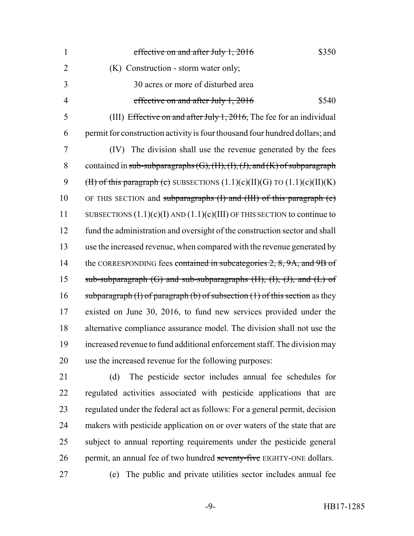| $\mathbf{1}$   | effective on and after July 1, 2016<br>\$350                                             |
|----------------|------------------------------------------------------------------------------------------|
| $\overline{2}$ | (K) Construction - storm water only;                                                     |
| 3              | 30 acres or more of disturbed area                                                       |
| $\overline{4}$ | \$540<br>effective on and after July 1, 2016                                             |
| 5              | (III) Effective on and after July 1, 2016, The fee for an individual                     |
| 6              | permit for construction activity is four thousand four hundred dollars; and              |
| $\overline{7}$ | (IV) The division shall use the revenue generated by the fees                            |
| 8              | contained in sub-subparagraphs $(G)$ , $(H)$ , $(H)$ , $(H)$ , and $(K)$ of subparagraph |
| 9              | (H) of this paragraph (c) SUBSECTIONS $(1.1)(c)(II)(G)$ TO $(1.1)(c)(II)(K)$             |
| 10             | OF THIS SECTION and subparagraphs (I) and (III) of this paragraph (c)                    |
| 11             | SUBSECTIONS $(1.1)(c)(I)$ AND $(1.1)(c)(III)$ OF THIS SECTION to continue to             |
| 12             | fund the administration and oversight of the construction sector and shall               |
| 13             | use the increased revenue, when compared with the revenue generated by                   |
| 14             | the CORRESPONDING fees contained in subcategories 2, 8, 9A, and 9B of                    |
| 15             | sub-subparagraph $(G)$ and sub-subparagraphs $(H)$ , $(H)$ , $(H)$ , and $(L)$ of        |
| 16             | subparagraph $(I)$ of paragraph $(b)$ of subsection $(I)$ of this section as they        |
| 17             | existed on June 30, 2016, to fund new services provided under the                        |
| 18             | alternative compliance assurance model. The division shall not use the                   |
| 19             | increased revenue to fund additional enforcement staff. The division may                 |
| 20             | use the increased revenue for the following purposes:                                    |
|                |                                                                                          |

 (d) The pesticide sector includes annual fee schedules for regulated activities associated with pesticide applications that are regulated under the federal act as follows: For a general permit, decision makers with pesticide application on or over waters of the state that are subject to annual reporting requirements under the pesticide general 26 permit, an annual fee of two hundred seventy-five EIGHTY-ONE dollars.

(e) The public and private utilities sector includes annual fee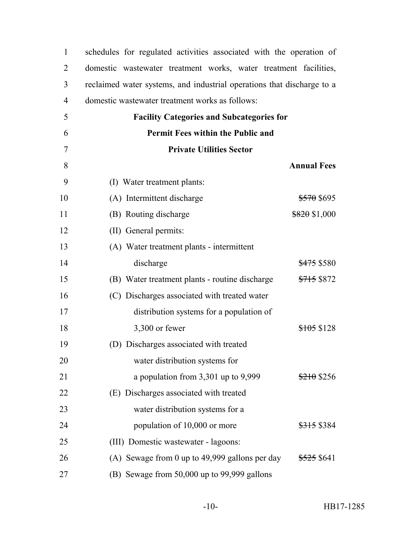| $\mathbf{1}$   | schedules for regulated activities associated with the operation of    |                        |
|----------------|------------------------------------------------------------------------|------------------------|
| $\overline{2}$ | domestic wastewater treatment works, water treatment facilities,       |                        |
| 3              | reclaimed water systems, and industrial operations that discharge to a |                        |
| $\overline{4}$ | domestic wastewater treatment works as follows:                        |                        |
| 5              | <b>Facility Categories and Subcategories for</b>                       |                        |
| 6              | <b>Permit Fees within the Public and</b>                               |                        |
| 7              | <b>Private Utilities Sector</b>                                        |                        |
| 8              |                                                                        | <b>Annual Fees</b>     |
| 9              | (I) Water treatment plants:                                            |                        |
| 10             | (A) Intermittent discharge                                             | <del>\$570</del> \$695 |
| 11             | (B) Routing discharge                                                  | $$820$ \$1,000         |
| 12             | (II) General permits:                                                  |                        |
| 13             | (A) Water treatment plants - intermittent                              |                        |
| 14             | discharge                                                              | <del>\$475</del> \$580 |
| 15             | (B) Water treatment plants - routine discharge                         | <del>\$715</del> \$872 |
| 16             | (C) Discharges associated with treated water                           |                        |
| 17             | distribution systems for a population of                               |                        |
| 18             | 3,300 or fewer                                                         | \$105\$128             |
| 19             | (D) Discharges associated with treated                                 |                        |
| 20             | water distribution systems for                                         |                        |
| 21             | a population from $3,301$ up to $9,999$                                | \$210\$3256            |
| 22             | (E) Discharges associated with treated                                 |                        |
| 23             | water distribution systems for a                                       |                        |
| 24             | population of 10,000 or more                                           | <del>\$315</del> \$384 |
| 25             | (III) Domestic wastewater - lagoons:                                   |                        |
| 26             | (A) Sewage from 0 up to 49,999 gallons per day                         | <del>\$525</del> \$641 |
| 27             | (B) Sewage from 50,000 up to 99,999 gallons                            |                        |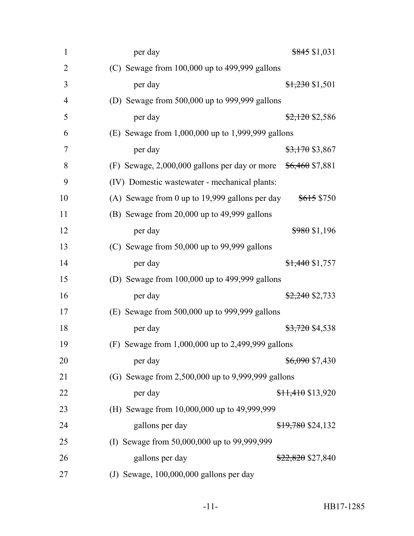| $\mathbf{1}$   | $$845$ \$1,031<br>per day                                     |
|----------------|---------------------------------------------------------------|
| $\overline{2}$ | (C) Sewage from $100,000$ up to $499,999$ gallons             |
| 3              | per day<br>$$1,230$ \$1,501                                   |
| $\overline{4}$ | (D) Sewage from $500,000$ up to $999,999$ gallons             |
| 5              | $$2,120$ \$2,586<br>per day                                   |
| 6              | (E) Sewage from $1,000,000$ up to $1,999,999$ gallons         |
| 7              | $$3,170$ \$3,867<br>per day                                   |
| 8              | (F) Sewage, 2,000,000 gallons per day or more $$6,460 $7,881$ |
| 9              | (IV) Domestic wastewater - mechanical plants:                 |
| 10             | (A) Sewage from 0 up to 19,999 gallons per day<br>\$615 \$750 |
| 11             | (B) Sewage from 20,000 up to 49,999 gallons                   |
| 12             | $$980$ \$1,196<br>per day                                     |
| 13             | (C) Sewage from $50,000$ up to $99,999$ gallons               |
| 14             | $$1,440$ \$1,757<br>per day                                   |
| 15             | (D) Sewage from $100,000$ up to $499,999$ gallons             |
| 16             | $$2,240$ \$2,733<br>per day                                   |
| 17             | (E) Sewage from $500,000$ up to $999,999$ gallons             |
| 18             | $$3,720$ \$4,538<br>per day                                   |
| 19             | (F) Sewage from $1,000,000$ up to 2,499,999 gallons           |
| 20             | \$6,090 \$7,430<br>per day                                    |
| 21             | (G) Sewage from 2,500,000 up to 9,999,999 gallons             |
| 22             | <del>\$11,410</del> \$13,920<br>per day                       |
| 23             | (H) Sewage from 10,000,000 up to 49,999,999                   |
| 24             | gallons per day<br><del>\$19,780</del> \$24,132               |
| 25             | (I) Sewage from 50,000,000 up to 99,999,999                   |
| 26             | gallons per day<br><del>\$22,820</del> \$27,840               |
| 27             | (J) Sewage, $100,000,000$ gallons per day                     |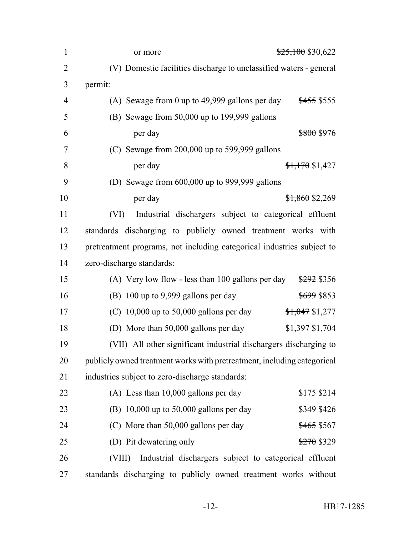| $\mathbf{1}$   | $$25,100$ \$30,622<br>or more                                               |
|----------------|-----------------------------------------------------------------------------|
| $\overline{2}$ | (V) Domestic facilities discharge to unclassified waters - general          |
| 3              | permit:                                                                     |
| $\overline{4}$ | (A) Sewage from 0 up to 49,999 gallons per day<br><del>\$455</del> \$555    |
| 5              | (B) Sewage from 50,000 up to 199,999 gallons                                |
| 6              | per day<br><del>\$800</del> \$976                                           |
| $\overline{7}$ | (C) Sewage from $200,000$ up to 599,999 gallons                             |
| 8              | per day<br>$$1,170$ \$1,427                                                 |
| 9              | (D) Sewage from 600,000 up to 999,999 gallons                               |
| 10             | per day<br>$$1,860$ \$2,269                                                 |
| 11             | Industrial dischargers subject to categorical effluent<br>(VI)              |
| 12             | standards discharging to publicly owned treatment works with                |
| 13             | pretreatment programs, not including categorical industries subject to      |
| 14             | zero-discharge standards:                                                   |
| 15             | (A) Very low flow - less than 100 gallons per day<br><del>\$292</del> \$356 |
| 16             | (B) 100 up to 9,999 gallons per day<br>\$699 \$853                          |
| 17             | (C) $10,000$ up to 50,000 gallons per day<br>$$1,047$ \$1,277               |
| 18             | (D) More than 50,000 gallons per day<br>\$1,397 \$1,704                     |
| 19             | (VII) All other significant industrial dischargers discharging to           |
| 20             | publicly owned treatment works with pretreatment, including categorical     |
| 21             | industries subject to zero-discharge standards:                             |
| 22             | $(A)$ Less than 10,000 gallons per day<br>\$175\$214                        |
| 23             | (B) $10,000$ up to 50,000 gallons per day<br><del>\$349</del> \$426         |
| 24             | (C) More than 50,000 gallons per day<br><del>\$465</del> \$567              |
| 25             | (D) Pit dewatering only<br>\$270 \$329                                      |
| 26             | Industrial dischargers subject to categorical effluent<br>(VIII)            |
| 27             | standards discharging to publicly owned treatment works without             |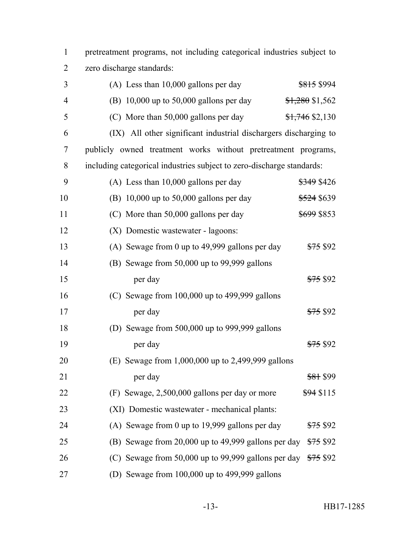| 1              | pretreatment programs, not including categorical industries subject to      |
|----------------|-----------------------------------------------------------------------------|
| 2              | zero discharge standards:                                                   |
| 3              | $(A)$ Less than 10,000 gallons per day<br><del>\$815</del> \$994            |
| $\overline{4}$ | $$1,280$ \$1,562<br>(B) $10,000$ up to 50,000 gallons per day               |
| 5              | (C) More than 50,000 gallons per day<br>$$1,746$ \$2,130                    |
| 6              | (IX) All other significant industrial dischargers discharging to            |
| 7              | publicly owned treatment works without pretreatment programs,               |
| 8              | including categorical industries subject to zero-discharge standards:       |
| 9              | $(A)$ Less than 10,000 gallons per day<br><del>\$349</del> \$426            |
| 10             | \$524 \$639<br>(B) $10,000$ up to 50,000 gallons per day                    |
| 11             | \$699 \$853<br>(C) More than 50,000 gallons per day                         |
| 12             | (X) Domestic wastewater - lagoons:                                          |
| 13             | (A) Sewage from 0 up to 49,999 gallons per day<br><del>\$75</del> \$92      |
| 14             | (B) Sewage from 50,000 up to 99,999 gallons                                 |
| 15             | <del>\$75</del> \$92<br>per day                                             |
| 16             | (C) Sewage from 100,000 up to 499,999 gallons                               |
| 17             | <del>\$75</del> \$92<br>per day                                             |
| 18             | (D) Sewage from 500,000 up to 999,999 gallons                               |
| 19             | <del>\$75</del> \$92<br>per day                                             |
| 20             | (E) Sewage from $1,000,000$ up to 2,499,999 gallons                         |
| 21             | <del>\$81</del> \$99<br>per day                                             |
| 22             | $$94$ \$115<br>(F) Sewage, 2,500,000 gallons per day or more                |
| 23             | (XI) Domestic wastewater - mechanical plants:                               |
| 24             | (A) Sewage from 0 up to 19,999 gallons per day<br><del>\$75</del> \$92      |
| 25             | (B) Sewage from 20,000 up to 49,999 gallons per day<br><del>\$75</del> \$92 |
| 26             | (C) Sewage from 50,000 up to 99,999 gallons per day $\frac{$75}{92}$        |
| 27             | (D) Sewage from $100,000$ up to $499,999$ gallons                           |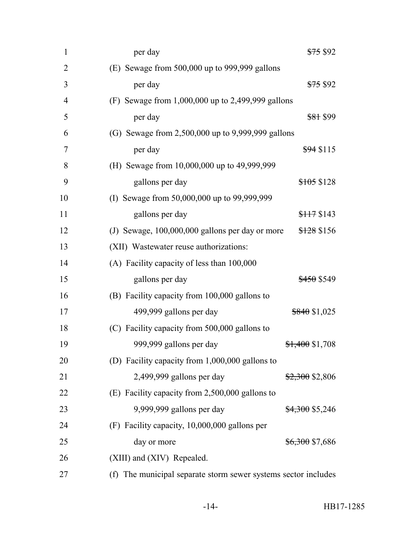| $\mathbf{1}$   | <del>\$75</del> \$92<br>per day                                |
|----------------|----------------------------------------------------------------|
| $\overline{2}$ | (E) Sewage from $500,000$ up to $999,999$ gallons              |
| 3              | <del>\$75</del> \$92<br>per day                                |
| $\overline{4}$ | (F) Sewage from $1,000,000$ up to 2,499,999 gallons            |
| 5              | <del>\$81</del> \$99<br>per day                                |
| 6              | (G) Sewage from 2,500,000 up to 9,999,999 gallons              |
| 7              | $$94$ \$115<br>per day                                         |
| 8              | (H) Sewage from 10,000,000 up to 49,999,999                    |
| 9              | \$105\$128<br>gallons per day                                  |
| 10             | (I) Sewage from 50,000,000 up to 99,999,999                    |
| 11             | \$117\$143<br>gallons per day                                  |
| 12             | \$128 \$156<br>(J) Sewage, 100,000,000 gallons per day or more |
| 13             | (XII) Wastewater reuse authorizations:                         |
| 14             | (A) Facility capacity of less than 100,000                     |
| 15             | <del>\$450</del> \$549<br>gallons per day                      |
| 16             | (B) Facility capacity from 100,000 gallons to                  |
| 17             | $$840$ \$1,025<br>499,999 gallons per day                      |
| 18             | (C) Facility capacity from 500,000 gallons to                  |
| 19             | 999,999 gallons per day<br>$$1,400$ \$1,708                    |
| 20             | (D) Facility capacity from 1,000,000 gallons to                |
| 21             | 2,499,999 gallons per day<br>$$2,300$ \$2,806                  |
| 22             | (E) Facility capacity from $2,500,000$ gallons to              |
| 23             | 9,999,999 gallons per day<br><del>\$4,300</del> \$5,246        |
| 24             | (F) Facility capacity, 10,000,000 gallons per                  |
| 25             | <del>\$6,300</del> \$7,686<br>day or more                      |
| 26             | (XIII) and (XIV) Repealed.                                     |
| 27             | (f) The municipal separate storm sewer systems sector includes |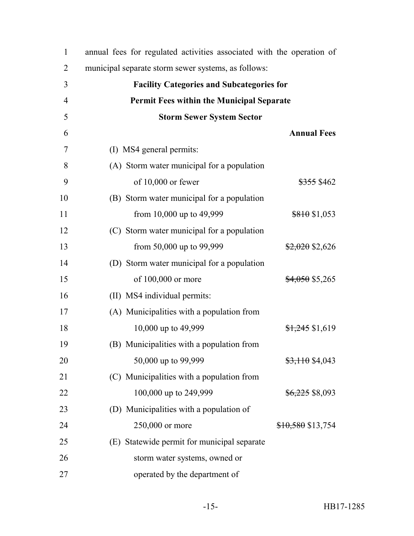| $\mathbf{1}$   | annual fees for regulated activities associated with the operation of |                              |
|----------------|-----------------------------------------------------------------------|------------------------------|
| $\overline{2}$ | municipal separate storm sewer systems, as follows:                   |                              |
| 3              | <b>Facility Categories and Subcategories for</b>                      |                              |
| $\overline{4}$ | <b>Permit Fees within the Municipal Separate</b>                      |                              |
| 5              | <b>Storm Sewer System Sector</b>                                      |                              |
| 6              |                                                                       | <b>Annual Fees</b>           |
| 7              | (I) MS4 general permits:                                              |                              |
| 8              | (A) Storm water municipal for a population                            |                              |
| 9              | of 10,000 or fewer                                                    | <del>\$355</del> \$462       |
| 10             | (B) Storm water municipal for a population                            |                              |
| 11             | from 10,000 up to 49,999                                              | \$810,053                    |
| 12             | (C) Storm water municipal for a population                            |                              |
| 13             | from 50,000 up to 99,999                                              | $\frac{$2,020}{$2,026}$      |
| 14             | (D) Storm water municipal for a population                            |                              |
| 15             | of 100,000 or more                                                    | <del>\$4,050</del> \$5,265   |
| 16             | (II) MS4 individual permits:                                          |                              |
| 17             | (A) Municipalities with a population from                             |                              |
| 18             | 10,000 up to 49,999                                                   | <del>\$1,245</del> \$1,619   |
| 19             | (B) Municipalities with a population from                             |                              |
| 20             | 50,000 up to 99,999                                                   | $$3,110$ \$4,043             |
| 21             | (C) Municipalities with a population from                             |                              |
| 22             | 100,000 up to 249,999                                                 | <del>\$6,225</del> \$8,093   |
| 23             | (D) Municipalities with a population of                               |                              |
| 24             | 250,000 or more                                                       | <del>\$10,580</del> \$13,754 |
| 25             | (E) Statewide permit for municipal separate                           |                              |
| 26             | storm water systems, owned or                                         |                              |
| 27             | operated by the department of                                         |                              |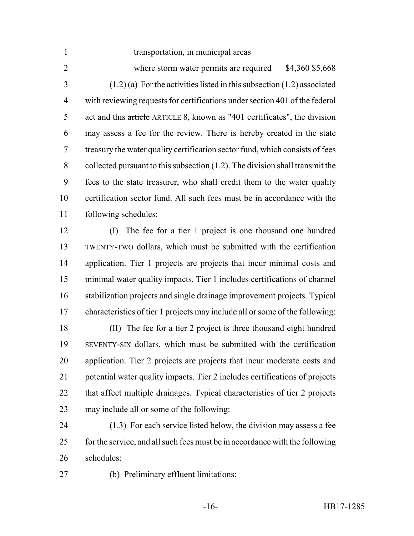transportation, in municipal areas

2 where storm water permits are required  $\frac{$4,360}{$5,668}$  (1.2) (a) For the activities listed in this subsection (1.2) associated with reviewing requests for certifications under section 401 of the federal 5 act and this article ARTICLE 8, known as "401 certificates", the division may assess a fee for the review. There is hereby created in the state treasury the water quality certification sector fund, which consists of fees collected pursuant to this subsection (1.2). The division shall transmit the fees to the state treasurer, who shall credit them to the water quality certification sector fund. All such fees must be in accordance with the following schedules:

 (I) The fee for a tier 1 project is one thousand one hundred TWENTY-TWO dollars, which must be submitted with the certification application. Tier 1 projects are projects that incur minimal costs and minimal water quality impacts. Tier 1 includes certifications of channel stabilization projects and single drainage improvement projects. Typical characteristics of tier 1 projects may include all or some of the following:

 (II) The fee for a tier 2 project is three thousand eight hundred SEVENTY-SIX dollars, which must be submitted with the certification application. Tier 2 projects are projects that incur moderate costs and potential water quality impacts. Tier 2 includes certifications of projects that affect multiple drainages. Typical characteristics of tier 2 projects may include all or some of the following:

 (1.3) For each service listed below, the division may assess a fee for the service, and all such fees must be in accordance with the following schedules:

(b) Preliminary effluent limitations: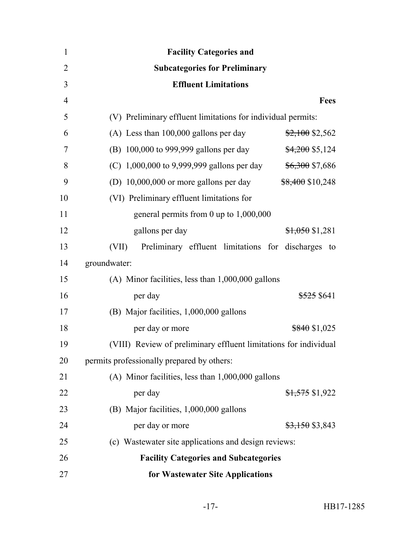| $\mathbf{1}$   | <b>Facility Categories and</b>                                   |
|----------------|------------------------------------------------------------------|
| $\overline{2}$ | <b>Subcategories for Preliminary</b>                             |
| 3              | <b>Effluent Limitations</b>                                      |
| $\overline{4}$ | <b>Fees</b>                                                      |
| 5              | (V) Preliminary effluent limitations for individual permits:     |
| 6              | (A) Less than $100,000$ gallons per day<br>$$2,100$ \$2,562      |
| 7              | (B) 100,000 to 999,999 gallons per day<br>$$4,200$ \$5,124       |
| 8              | (C) 1,000,000 to 9,999,999 gallons per day<br>\$6,300 \$7,686    |
| 9              | (D) $10,000,000$ or more gallons per day<br>$$8,400$ \$10,248    |
| 10             | (VI) Preliminary effluent limitations for                        |
| 11             | general permits from 0 up to $1,000,000$                         |
| 12             | gallons per day<br>$$1,050$ \$1,281                              |
| 13             | Preliminary effluent limitations for discharges to<br>(VII)      |
| 14             | groundwater:                                                     |
| 15             | $(A)$ Minor facilities, less than $1,000,000$ gallons            |
| 16             | per day<br><del>\$525</del> \$641                                |
| 17             | (B) Major facilities, 1,000,000 gallons                          |
| 18             | $$840$ \$1,025<br>per day or more                                |
| 19             | (VIII) Review of preliminary effluent limitations for individual |
| 20             | permits professionally prepared by others:                       |
| 21             | (A) Minor facilities, less than 1,000,000 gallons                |
| 22             | $$1,575$ \$1,922<br>per day                                      |
| 23             | (B) Major facilities, 1,000,000 gallons                          |
| 24             | per day or more<br>$$3,150$ \$3,843                              |
| 25             | (c) Wastewater site applications and design reviews:             |
| 26             | <b>Facility Categories and Subcategories</b>                     |
| 27             | for Wastewater Site Applications                                 |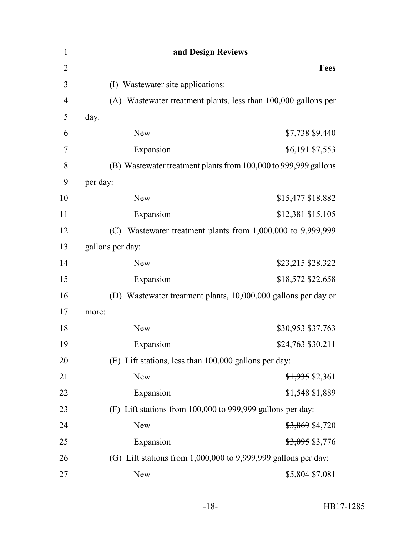| $\mathbf{1}$   | and Design Reviews                                                 |                                                            |  |
|----------------|--------------------------------------------------------------------|------------------------------------------------------------|--|
| $\overline{2}$ |                                                                    | <b>Fees</b>                                                |  |
| 3              | (I) Wastewater site applications:                                  |                                                            |  |
| $\overline{4}$ | (A) Wastewater treatment plants, less than 100,000 gallons per     |                                                            |  |
| 5              | day:                                                               |                                                            |  |
| 6              | <b>New</b>                                                         | <del>\$7,738</del> \$9,440                                 |  |
| 7              | Expansion                                                          | <del>\$6,191</del> \$7,553                                 |  |
| 8              | (B) Wastewater treatment plants from 100,000 to 999,999 gallons    |                                                            |  |
| 9              | per day:                                                           |                                                            |  |
| 10             | <b>New</b>                                                         | \$15,477 \$18,882                                          |  |
| 11             | Expansion                                                          | \$12,381 \$15,105                                          |  |
| 12             | (C) Wastewater treatment plants from $1,000,000$ to $9,999,999$    |                                                            |  |
| 13             | gallons per day:                                                   |                                                            |  |
| 14             | <b>New</b>                                                         | <del>\$23,215</del> \$28,322                               |  |
| 15             | Expansion                                                          | \$18,572 \$22,658                                          |  |
| 16             | (D) Wastewater treatment plants, 10,000,000 gallons per day or     |                                                            |  |
| 17             | more:                                                              |                                                            |  |
| 18             | <b>New</b>                                                         | <del>\$30,953</del> \$37,763                               |  |
| 19             | Expansion                                                          | \$24,763 \$30,211                                          |  |
| 20             | (E) Lift stations, less than 100,000 gallons per day:              |                                                            |  |
| 21             | <b>New</b>                                                         | <del>\$1,935</del> \$2,361                                 |  |
| 22             | Expansion                                                          | \$1,548 \$1,889                                            |  |
| 23             |                                                                    | (F) Lift stations from 100,000 to 999,999 gallons per day: |  |
| 24             | <b>New</b>                                                         | \$3,869 \$4,720                                            |  |
| 25             | Expansion                                                          | \$3,095 \$3,776                                            |  |
| 26             | (G) Lift stations from $1,000,000$ to $9,999,999$ gallons per day: |                                                            |  |
| 27             | <b>New</b>                                                         | <del>\$5,804</del> \$7,081                                 |  |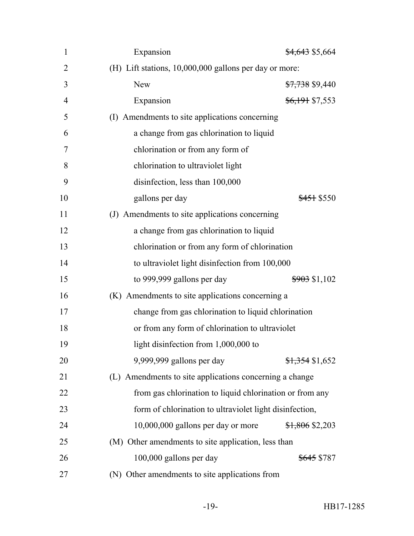| $\mathbf{1}$   | Expansion<br>\$4,643 \$5,664                             |  |
|----------------|----------------------------------------------------------|--|
| $\overline{2}$ | (H) Lift stations, 10,000,000 gallons per day or more:   |  |
| 3              | <b>New</b><br><del>\$7,738</del> \$9,440                 |  |
| $\overline{4}$ | Expansion<br><del>\$6,191</del> \$7,553                  |  |
| 5              | (I) Amendments to site applications concerning           |  |
| 6              | a change from gas chlorination to liquid                 |  |
| 7              | chlorination or from any form of                         |  |
| 8              | chlorination to ultraviolet light                        |  |
| 9              | disinfection, less than 100,000                          |  |
| 10             | gallons per day<br><del>\$451</del> \$550                |  |
| 11             | (J) Amendments to site applications concerning           |  |
| 12             | a change from gas chlorination to liquid                 |  |
| 13             | chlorination or from any form of chlorination            |  |
| 14             | to ultraviolet light disinfection from 100,000           |  |
| 15             | to 999,999 gallons per day<br>\$903\$1,102               |  |
| 16             | (K) Amendments to site applications concerning a         |  |
| 17             | change from gas chlorination to liquid chlorination      |  |
| 18             | or from any form of chlorination to ultraviolet          |  |
| 19             | light disinfection from 1,000,000 to                     |  |
| 20             | 9,999,999 gallons per day<br>$$1,354$ \$1,652            |  |
| 21             | (L) Amendments to site applications concerning a change  |  |
| 22             | from gas chlorination to liquid chlorination or from any |  |
| 23             | form of chlorination to ultraviolet light disinfection,  |  |
| 24             | 10,000,000 gallons per day or more<br>\$1,806 \$2,203    |  |
| 25             | (M) Other amendments to site application, less than      |  |
| 26             | 100,000 gallons per day<br><del>\$645</del> \$787        |  |
| 27             | (N) Other amendments to site applications from           |  |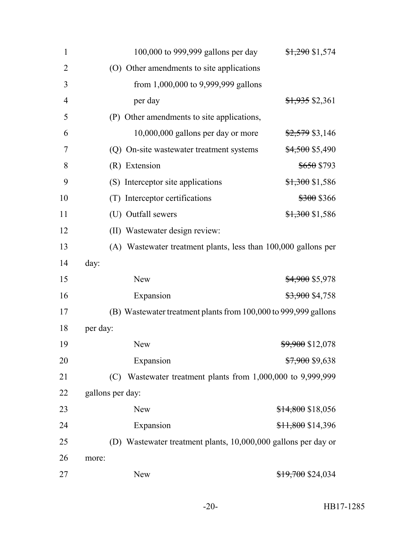| $\mathbf{1}$   | 100,000 to 999,999 gallons per day                              | $$1,290$ \$1,574             |
|----------------|-----------------------------------------------------------------|------------------------------|
| $\overline{2}$ | (O) Other amendments to site applications                       |                              |
| 3              | from 1,000,000 to 9,999,999 gallons                             |                              |
| $\overline{4}$ | per day                                                         | $$1,935$ \$2,361             |
| 5              | (P) Other amendments to site applications,                      |                              |
| 6              | 10,000,000 gallons per day or more                              | $$2,579$ \$3,146             |
| 7              | (Q) On-site wastewater treatment systems                        | \$4,500 \$5,490              |
| 8              | (R) Extension                                                   | \$650 \$793                  |
| 9              | (S) Interceptor site applications                               | $$1,300$ \$1,586             |
| 10             | (T) Interceptor certifications                                  | \$300 \$366                  |
| 11             | (U) Outfall sewers                                              | $$1,300$ \$1,586             |
| 12             | (II) Wastewater design review:                                  |                              |
| 13             | (A) Wastewater treatment plants, less than 100,000 gallons per  |                              |
| 14             | day:                                                            |                              |
| 15             | <b>New</b>                                                      | \$4,900 \$5,978              |
| 16             | Expansion                                                       | \$3,900 \$4,758              |
| 17             | (B) Wastewater treatment plants from 100,000 to 999,999 gallons |                              |
| 18             | per day:                                                        |                              |
| 19             | <b>New</b>                                                      | <del>\$9,900</del> \$12,078  |
| 20             | Expansion                                                       | <del>\$7,900</del> \$9,638   |
| 21             | Wastewater treatment plants from 1,000,000 to 9,999,999<br>(C)  |                              |
| 22             | gallons per day:                                                |                              |
| 23             | <b>New</b>                                                      | \$14,800 \$18,056            |
| 24             | Expansion                                                       | $$11,800$ \$14,396           |
| 25             | (D) Wastewater treatment plants, 10,000,000 gallons per day or  |                              |
| 26             | more:                                                           |                              |
| 27             | <b>New</b>                                                      | <del>\$19,700</del> \$24,034 |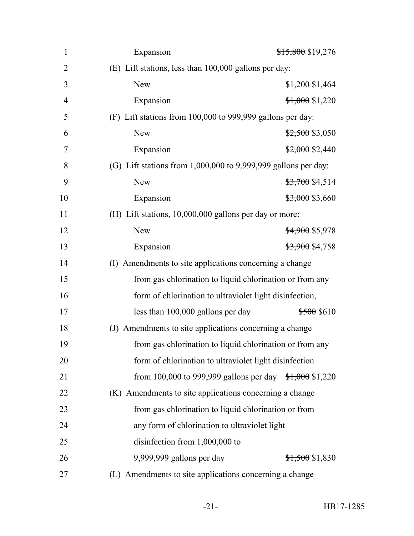| $\mathbf{1}$   | \$15,800 \$19,276<br>Expansion                                          |  |
|----------------|-------------------------------------------------------------------------|--|
| $\overline{2}$ | (E) Lift stations, less than 100,000 gallons per day:                   |  |
| 3              | <b>New</b><br>$$1,200$ \$1,464                                          |  |
| $\overline{4}$ | Expansion<br>$$1,000$ \$1,220                                           |  |
| 5              | (F) Lift stations from 100,000 to 999,999 gallons per day:              |  |
| 6              | <b>New</b><br>$$2,500$ \$3,050                                          |  |
| $\overline{7}$ | $$2,000$ \$2,440<br>Expansion                                           |  |
| 8              | (G) Lift stations from $1,000,000$ to $9,999,999$ gallons per day:      |  |
| 9              | <b>New</b><br><del>\$3,700</del> \$4,514                                |  |
| 10             | Expansion<br>\$3,000 \$3,660                                            |  |
| 11             | (H) Lift stations, 10,000,000 gallons per day or more:                  |  |
| 12             | <b>New</b><br><del>\$4,900</del> \$5,978                                |  |
| 13             | \$3,900 \$4,758<br>Expansion                                            |  |
| 14             | (I) Amendments to site applications concerning a change                 |  |
| 15             | from gas chlorination to liquid chlorination or from any                |  |
| 16             | form of chlorination to ultraviolet light disinfection,                 |  |
| 17             | less than 100,000 gallons per day<br>\$500 \$610                        |  |
| 18             | (J) Amendments to site applications concerning a change                 |  |
| 19             | from gas chlorination to liquid chlorination or from any                |  |
| 20             | form of chlorination to ultraviolet light disinfection                  |  |
| 21             | from 100,000 to 999,999 gallons per day $\frac{$1,000}{$1,000}$ \$1,220 |  |
| 22             | (K) Amendments to site applications concerning a change                 |  |
| 23             | from gas chlorination to liquid chlorination or from                    |  |
| 24             | any form of chlorination to ultraviolet light                           |  |
| 25             | disinfection from $1,000,000$ to                                        |  |
| 26             | 9,999,999 gallons per day<br>$$1,500$ \$1,830                           |  |
| 27             | (L) Amendments to site applications concerning a change                 |  |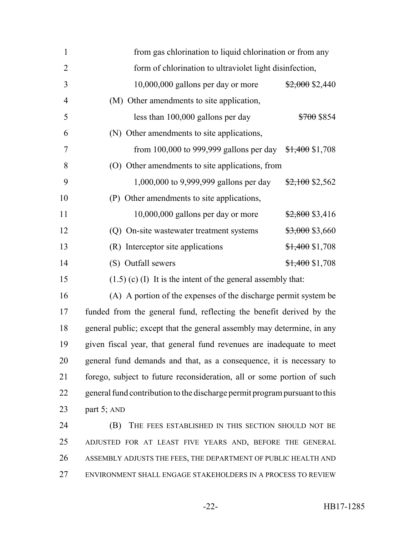| $\mathbf{1}$   | from gas chlorination to liquid chlorination or from any           |                        |
|----------------|--------------------------------------------------------------------|------------------------|
| $\overline{2}$ | form of chlorination to ultraviolet light disinfection,            |                        |
| 3              | 10,000,000 gallons per day or more                                 | $$2,000$ \$2,440       |
| $\overline{4}$ | (M) Other amendments to site application,                          |                        |
| 5              | less than 100,000 gallons per day                                  | <del>\$700</del> \$854 |
| 6              | (N) Other amendments to site applications,                         |                        |
| $\overline{7}$ | from 100,000 to 999,999 gallons per day $\frac{$1,400}{$1,708}$    |                        |
| 8              | (O) Other amendments to site applications, from                    |                        |
| 9              | 1,000,000 to 9,999,999 gallons per day                             | $$2,100$ \$2,562       |
| 10             | (P) Other amendments to site applications,                         |                        |
| 11             | 10,000,000 gallons per day or more                                 | $$2,800$ \$3,416       |
| 12             | (Q) On-site wastewater treatment systems                           | \$3,000 \$3,660        |
| 13             | (R) Interceptor site applications                                  | $$1,400$ \$1,708       |
| 14             | (S) Outfall sewers                                                 | $$1,400$ \$1,708       |
| 15             | $(1.5)$ (c) (I) It is the intent of the general assembly that:     |                        |
| 16             | (A) A portion of the expenses of the discharge permit system be    |                        |
| 17             | funded from the general fund reflecting the benefit derived by the |                        |

 funded from the general fund, reflecting the benefit derived by the general public; except that the general assembly may determine, in any given fiscal year, that general fund revenues are inadequate to meet general fund demands and that, as a consequence, it is necessary to forego, subject to future reconsideration, all or some portion of such general fund contribution to the discharge permit program pursuant to this 23 part 5; AND

 (B) THE FEES ESTABLISHED IN THIS SECTION SHOULD NOT BE ADJUSTED FOR AT LEAST FIVE YEARS AND, BEFORE THE GENERAL ASSEMBLY ADJUSTS THE FEES, THE DEPARTMENT OF PUBLIC HEALTH AND ENVIRONMENT SHALL ENGAGE STAKEHOLDERS IN A PROCESS TO REVIEW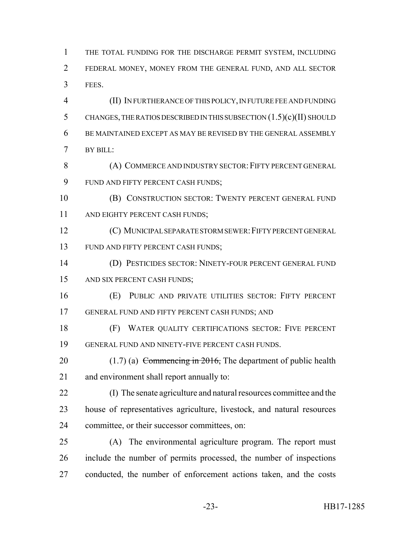THE TOTAL FUNDING FOR THE DISCHARGE PERMIT SYSTEM, INCLUDING FEDERAL MONEY, MONEY FROM THE GENERAL FUND, AND ALL SECTOR FEES.

 (II) IN FURTHERANCE OF THIS POLICY, IN FUTURE FEE AND FUNDING CHANGES, THE RATIOS DESCRIBED IN THIS SUBSECTION (1.5)(c)(II) SHOULD BE MAINTAINED EXCEPT AS MAY BE REVISED BY THE GENERAL ASSEMBLY BY BILL:

8 (A) COMMERCE AND INDUSTRY SECTOR: FIFTY PERCENT GENERAL FUND AND FIFTY PERCENT CASH FUNDS;

 (B) CONSTRUCTION SECTOR: TWENTY PERCENT GENERAL FUND AND EIGHTY PERCENT CASH FUNDS;

 (C) MUNICIPAL SEPARATE STORM SEWER:FIFTY PERCENT GENERAL 13 FUND AND FIFTY PERCENT CASH FUNDS;

 (D) PESTICIDES SECTOR: NINETY-FOUR PERCENT GENERAL FUND AND SIX PERCENT CASH FUNDS;

 (E) PUBLIC AND PRIVATE UTILITIES SECTOR: FIFTY PERCENT GENERAL FUND AND FIFTY PERCENT CASH FUNDS; AND

 (F) WATER QUALITY CERTIFICATIONS SECTOR: FIVE PERCENT GENERAL FUND AND NINETY-FIVE PERCENT CASH FUNDS.

20 (1.7) (a) Commencing in 2016, The department of public health and environment shall report annually to:

 (I) The senate agriculture and natural resources committee and the house of representatives agriculture, livestock, and natural resources committee, or their successor committees, on:

 (A) The environmental agriculture program. The report must include the number of permits processed, the number of inspections conducted, the number of enforcement actions taken, and the costs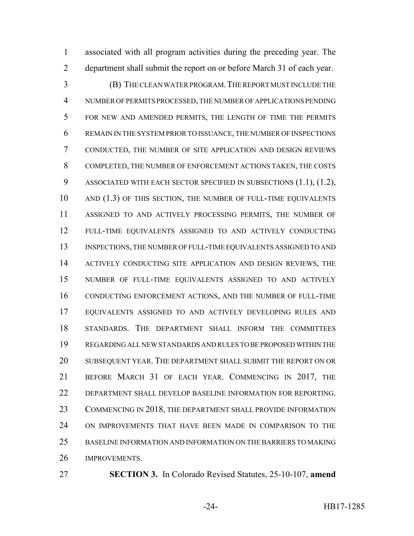associated with all program activities during the preceding year. The department shall submit the report on or before March 31 of each year.

 (B) THE CLEAN WATER PROGRAM.THE REPORT MUST INCLUDE THE NUMBER OF PERMITS PROCESSED, THE NUMBER OF APPLICATIONS PENDING FOR NEW AND AMENDED PERMITS, THE LENGTH OF TIME THE PERMITS REMAIN IN THE SYSTEM PRIOR TO ISSUANCE, THE NUMBER OF INSPECTIONS CONDUCTED, THE NUMBER OF SITE APPLICATION AND DESIGN REVIEWS COMPLETED, THE NUMBER OF ENFORCEMENT ACTIONS TAKEN, THE COSTS 9 ASSOCIATED WITH EACH SECTOR SPECIFIED IN SUBSECTIONS  $(1.1)$ ,  $(1.2)$ , 10 AND (1.3) OF THIS SECTION, THE NUMBER OF FULL-TIME EQUIVALENTS ASSIGNED TO AND ACTIVELY PROCESSING PERMITS, THE NUMBER OF FULL-TIME EQUIVALENTS ASSIGNED TO AND ACTIVELY CONDUCTING INSPECTIONS, THE NUMBER OF FULL-TIME EQUIVALENTS ASSIGNED TO AND 14 ACTIVELY CONDUCTING SITE APPLICATION AND DESIGN REVIEWS, THE NUMBER OF FULL-TIME EQUIVALENTS ASSIGNED TO AND ACTIVELY CONDUCTING ENFORCEMENT ACTIONS, AND THE NUMBER OF FULL-TIME EQUIVALENTS ASSIGNED TO AND ACTIVELY DEVELOPING RULES AND STANDARDS. THE DEPARTMENT SHALL INFORM THE COMMITTEES REGARDING ALL NEW STANDARDS AND RULES TO BE PROPOSED WITHIN THE SUBSEQUENT YEAR. THE DEPARTMENT SHALL SUBMIT THE REPORT ON OR BEFORE MARCH 31 OF EACH YEAR. COMMENCING IN 2017, THE DEPARTMENT SHALL DEVELOP BASELINE INFORMATION FOR REPORTING. COMMENCING IN 2018, THE DEPARTMENT SHALL PROVIDE INFORMATION ON IMPROVEMENTS THAT HAVE BEEN MADE IN COMPARISON TO THE BASELINE INFORMATION AND INFORMATION ON THE BARRIERS TO MAKING IMPROVEMENTS.

**SECTION 3.** In Colorado Revised Statutes, 25-10-107, **amend**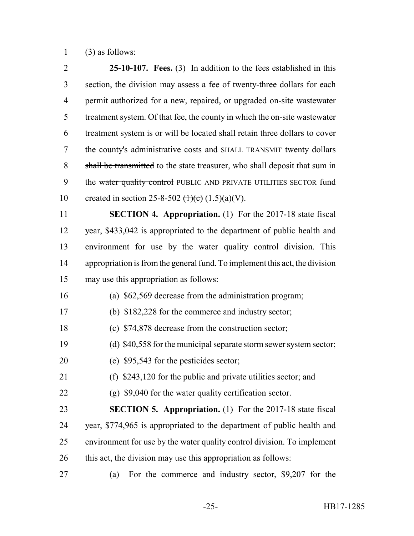(3) as follows:

 **25-10-107. Fees.** (3) In addition to the fees established in this section, the division may assess a fee of twenty-three dollars for each permit authorized for a new, repaired, or upgraded on-site wastewater treatment system. Of that fee, the county in which the on-site wastewater treatment system is or will be located shall retain three dollars to cover the county's administrative costs and SHALL TRANSMIT twenty dollars 8 shall be transmitted to the state treasurer, who shall deposit that sum in 9 the water quality control PUBLIC AND PRIVATE UTILITIES SECTOR fund 10 created in section 25-8-502  $(\frac{11}{c})$  (1.5)(a)(V). **SECTION 4. Appropriation.** (1) For the 2017-18 state fiscal year, \$433,042 is appropriated to the department of public health and environment for use by the water quality control division. This appropriation is from the general fund. To implement this act, the division may use this appropriation as follows: (a) \$62,569 decrease from the administration program; (b) \$182,228 for the commerce and industry sector; (c) \$74,878 decrease from the construction sector; (d) \$40,558 for the municipal separate storm sewer system sector; (e) \$95,543 for the pesticides sector; (f) \$243,120 for the public and private utilities sector; and (g) \$9,040 for the water quality certification sector. **SECTION 5. Appropriation.** (1) For the 2017-18 state fiscal year, \$774,965 is appropriated to the department of public health and environment for use by the water quality control division. To implement this act, the division may use this appropriation as follows: (a) For the commerce and industry sector, \$9,207 for the